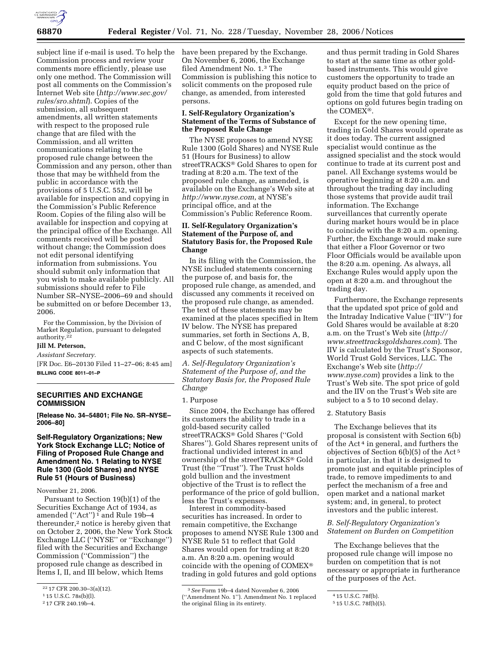

Commission process and review your comments more efficiently, please use only one method. The Commission will post all comments on the Commission's Internet Web site (*http://www.sec.gov/ rules/sro.shtml*). Copies of the submission, all subsequent amendments, all written statements with respect to the proposed rule change that are filed with the Commission, and all written communications relating to the proposed rule change between the Commission and any person, other than those that may be withheld from the public in accordance with the provisions of 5 U.S.C. 552, will be available for inspection and copying in the Commission's Public Reference Room. Copies of the filing also will be available for inspection and copying at the principal office of the Exchange. All comments received will be posted without change; the Commission does not edit personal identifying information from submissions. You should submit only information that you wish to make available publicly. All submissions should refer to File Number SR–NYSE–2006–69 and should be submitted on or before December 13, 2006.

For the Commission, by the Division of Market Regulation, pursuant to delegated authority.<sup>22</sup>

# **Jill M. Peterson,**

*Assistant Secretary.* 

[FR Doc. E6–20130 Filed 11–27–06; 8:45 am] **BILLING CODE 8011–01–P** 

# **SECURITIES AND EXCHANGE COMMISSION**

**[Release No. 34–54801; File No. SR–NYSE– 2006–80]** 

# **Self-Regulatory Organizations; New York Stock Exchange LLC; Notice of Filing of Proposed Rule Change and Amendment No. 1 Relating to NYSE Rule 1300 (Gold Shares) and NYSE Rule 51 (Hours of Business)**

November 21, 2006.

Pursuant to Section 19(b)(1) of the Securities Exchange Act of 1934, as amended ("Act")<sup>1</sup> and Rule 19b-4 thereunder,2 notice is hereby given that on October 2, 2006, the New York Stock Exchange LLC (''NYSE'' or ''Exchange'') filed with the Securities and Exchange Commission (''Commission'') the proposed rule change as described in Items I, II, and III below, which Items

subject line if e-mail is used. To help the have been prepared by the Exchange. On November 6, 2006, the Exchange filed Amendment No. 1.3 The Commission is publishing this notice to solicit comments on the proposed rule change, as amended, from interested persons.

# **I. Self-Regulatory Organization's Statement of the Terms of Substance of the Proposed Rule Change**

The NYSE proposes to amend NYSE Rule 1300 (Gold Shares) and NYSE Rule 51 (Hours for Business) to allow streetTRACKS<sup>®</sup> Gold Shares to open for trading at 8:20 a.m. The text of the proposed rule change, as amended, is available on the Exchange's Web site at *http://www.nyse.com*, at NYSE's principal office, and at the Commission's Public Reference Room.

# **II. Self-Regulatory Organization's Statement of the Purpose of, and Statutory Basis for, the Proposed Rule Change**

In its filing with the Commission, the NYSE included statements concerning the purpose of, and basis for, the proposed rule change, as amended, and discussed any comments it received on the proposed rule change, as amended. The text of these statements may be examined at the places specified in Item IV below. The NYSE has prepared summaries, set forth in Sections A, B, and C below, of the most significant aspects of such statements.

*A. Self-Regulatory Organization's Statement of the Purpose of, and the Statutory Basis for, the Proposed Rule Change* 

#### 1. Purpose

Since 2004, the Exchange has offered its customers the ability to trade in a gold-based security called streetTRACKS<sup>®</sup> Gold Shares ("Gold Shares''). Gold Shares represent units of fractional undivided interest in and ownership of the streetTRACKS<sup>®</sup> Gold Trust (the ''Trust''). The Trust holds gold bullion and the investment objective of the Trust is to reflect the performance of the price of gold bullion, less the Trust's expenses.

Interest in commodity-based securities has increased. In order to remain competitive, the Exchange proposes to amend NYSE Rule 1300 and NYSE Rule 51 to reflect that Gold Shares would open for trading at 8:20 a.m. An 8:20 a.m. opening would coincide with the opening of COMEX trading in gold futures and gold options

and thus permit trading in Gold Shares to start at the same time as other goldbased instruments. This would give customers the opportunity to trade an equity product based on the price of gold from the time that gold futures and options on gold futures begin trading on the COMEX<sup>®</sup>.

Except for the new opening time, trading in Gold Shares would operate as it does today. The current assigned specialist would continue as the assigned specialist and the stock would continue to trade at its current post and panel. All Exchange systems would be operative beginning at 8:20 a.m. and throughout the trading day including those systems that provide audit trail information. The Exchange surveillances that currently operate during market hours would be in place to coincide with the 8:20 a.m. opening. Further, the Exchange would make sure that either a Floor Governor or two Floor Officials would be available upon the 8:20 a.m. opening. As always, all Exchange Rules would apply upon the open at 8:20 a.m. and throughout the trading day.

Furthermore, the Exchange represents that the updated spot price of gold and the Intraday Indicative Value (''IIV'') for Gold Shares would be available at 8:20 a.m. on the Trust's Web site (*http:// www.streettracksgoldshares.com*). The IIV is calculated by the Trust's Sponsor, World Trust Gold Services, LLC. The Exchange's Web site (*http:// www.nyse.com*) provides a link to the Trust's Web site. The spot price of gold and the IIV on the Trust's Web site are subject to a 5 to 10 second delay.

### 2. Statutory Basis

The Exchange believes that its proposal is consistent with Section 6(b) of the Act 4 in general, and furthers the objectives of Section 6(b)(5) of the Act 5 in particular, in that it is designed to promote just and equitable principles of trade, to remove impediments to and perfect the mechanism of a free and open market and a national market system; and, in general, to protect investors and the public interest.

# *B. Self-Regulatory Organization's Statement on Burden on Competition*

The Exchange believes that the proposed rule change will impose no burden on competition that is not necessary or appropriate in furtherance of the purposes of the Act.

<sup>22</sup> 17 CFR 200.30–3(a)(12).

<sup>1</sup> 15 U.S.C. 78s(b)(l).

<sup>2</sup> 17 CFR 240.19b–4.

<sup>3</sup>*See* Form 19b–4 dated November 6, 2006 (''Amendment No. 1''). Amendment No. 1 replaced the original filing in its entirety.

<sup>4</sup> 15 U.S.C. 78f(b).

<sup>5</sup> 15 U.S.C. 78f(b)(5).